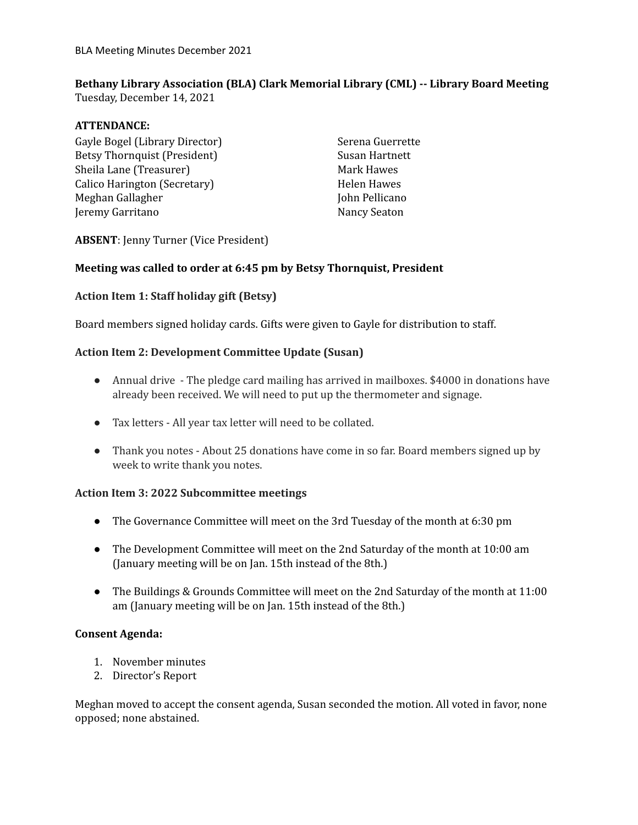# **Bethany Library Association (BLA) Clark Memorial Library (CML) -- Library Board Meeting**

Tuesday, December 14, 2021

#### **ATTENDANCE:**

Gayle Bogel (Library Director) Betsy Thornquist (President) Sheila Lane (Treasurer) Calico Harington (Secretary) Meghan Gallagher Jeremy Garritano

Serena Guerrette Susan Hartnett Mark Hawes Helen Hawes John Pellicano Nancy Seaton

**ABSENT**: Jenny Turner (Vice President)

## **Meeting was called to order at 6:45 pm by Betsy Thornquist, President**

## **Action Item 1: Staff holiday gift (Betsy)**

Board members signed holiday cards. Gifts were given to Gayle for distribution to staff.

## **Action Item 2: Development Committee Update (Susan)**

- Annual drive The pledge card mailing has arrived in mailboxes. \$4000 in donations have already been received. We will need to put up the thermometer and signage.
- Tax letters All year tax letter will need to be collated.
- Thank you notes About 25 donations have come in so far. Board members signed up by week to write thank you notes.

## **Action Item 3: 2022 Subcommittee meetings**

- The Governance Committee will meet on the 3rd Tuesday of the month at 6:30 pm
- The Development Committee will meet on the 2nd Saturday of the month at 10:00 am (January meeting will be on Jan. 15th instead of the 8th.)
- The Buildings & Grounds Committee will meet on the 2nd Saturday of the month at 11:00 am (January meeting will be on Jan. 15th instead of the 8th.)

## **Consent Agenda:**

- 1. November minutes
- 2. Director's Report

Meghan moved to accept the consent agenda, Susan seconded the motion. All voted in favor, none opposed; none abstained.